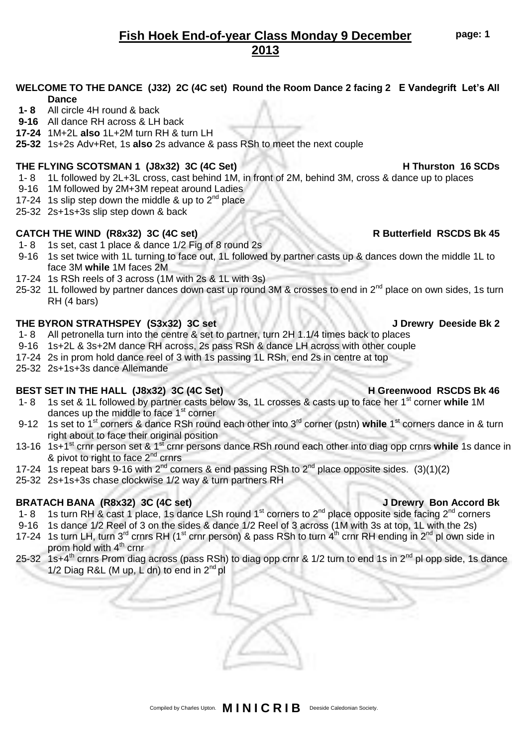# **Fish Hoek End-of-year Class Monday 9 December 2013**

# **WELCOME TO THE DANCE (J32) 2C (4C set) Round the Room Dance 2 facing 2 E Vandegrift Let's All Dance**

- **1- 8** All circle 4H round & back
- **9-16** All dance RH across & LH back
- **17-24** 1M+2L **also** 1L+2M turn RH & turn LH
- **25-32** 1s+2s Adv+Ret, 1s **also** 2s advance & pass RSh to meet the next couple

## **THE FLYING SCOTSMAN 1 (J8x32) 3C (4C Set) H Thurston 16 SCDs**

- 1- 8 1L followed by 2L+3L cross, cast behind 1M, in front of 2M, behind 3M, cross & dance up to places
- 9-16 1M followed by 2M+3M repeat around Ladies
- 17-24 1s slip step down the middle & up to  $2^{nd}$  place
- 25-32 2s+1s+3s slip step down & back

# **CATCH THE WIND (R8x32) 3C (4C set) R Butterfield RSCDS Bk 45**

- 1- 8 1s set, cast 1 place & dance 1/2 Fig of 8 round 2s
- 9-16 1s set twice with 1L turning to face out, 1L followed by partner casts up & dances down the middle 1L to face 3M **while** 1M faces 2M
- 17-24 1s RSh reels of 3 across (1M with 2s & 1L with 3s)
- 25-32 1L followed by partner dances down cast up round 3M & crosses to end in 2<sup>nd</sup> place on own sides, 1s turn RH (4 bars)

# **THE BYRON STRATHSPEY (S3x32) 3C set J Drewry Deeside Bk 2**

- 1- 8 All petronella turn into the centre & set to partner, turn 2H 1.1/4 times back to places
- 9-16 1s+2L & 3s+2M dance RH across, 2s pass RSh & dance LH across with other couple
- 17-24 2s in prom hold dance reel of 3 with 1s passing 1L RSh, end 2s in centre at top
- 25-32 2s+1s+3s dance Allemande

# **BEST SET IN THE HALL (J8x32) 3C (4C Set) H Greenwood RSCDS Bk 46**

- 1- 8 1s set & 1L followed by partner casts below 3s, 1L crosses & casts up to face her 1st corner **while** 1M dances up the middle to face 1<sup>st</sup> corner
- 9-12 1s set to 1<sup>st</sup> corners & dance RSh round each other into 3<sup>rd</sup> corner (pstn) while 1<sup>st</sup> corners dance in & turn right about to face their original position
- 13-16 1s+1<sup>st</sup> crnr person set & 1<sup>st</sup> crnr persons dance RSh round each other into diag opp crnrs while 1s dance in & pivot to right to face 2<sup>nd</sup> crnrs
- 17-24 1s repeat bars 9-16 with  $2^{nd}$  corners & end passing RSh to  $2^{nd}$  place opposite sides. (3)(1)(2)
- 25-32 2s+1s+3s chase clockwise 1/2 way & turn partners RH

# **BRATACH BANA (R8x32) 3C (4C set) J Drewry Bon Accord Bk**

- 1- 8 1s turn RH & cast 1 place, 1s dance LSh round 1<sup>st</sup> corners to 2<sup>nd</sup> place opposite side facing 2<sup>nd</sup> corners
- 9-16 1s dance 1/2 Reel of 3 on the sides & dance 1/2 Reel of 3 across (1M with 3s at top, 1L with the 2s)
- 17-24 1s turn LH, turn 3<sup>rd</sup> crnrs RH (1<sup>st</sup> crnr person) & pass RSh to turn  $A^{th}$  crnr RH ending in 2<sup>nd</sup> pl own side in prom hold with  $4<sup>th</sup>$  crnr
- 25-32 1s+4<sup>th</sup> crnrs Prom diag across (pass RSh) to diag opp crnr & 1/2 turn to end 1s in 2<sup>nd</sup> pl opp side, 1s dance 1/2 Diag R&L (M up, L dn) to end in  $2^{nd}$  pl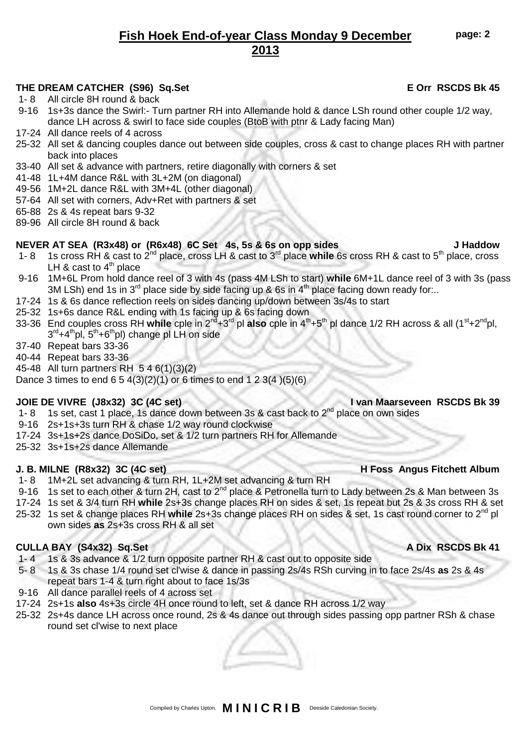# **Fish Hoek End-of-year Class Monday 9 December 2013**

# THE DREAM CATCHER (S96) Sq.Set **EXECUTER 1998** E Orr RSCDS Bk 45

- 1- 8 All circle 8H round & back
- 9-16 1s+3s dance the Swirl:- Turn partner RH into Allemande hold & dance LSh round other couple 1/2 way, dance LH across & swirl to face side couples (BtoB with ptnr & Lady facing Man)
- 17-24 All dance reels of 4 across
- 25-32 All set & dancing couples dance out between side couples, cross & cast to change places RH with partner back into places
- 33-40 All set & advance with partners, retire diagonally with corners & set
- 41-48 1L+4M dance R&L with 3L+2M (on diagonal)
- 49-56 1M+2L dance R&L with 3M+4L (other diagonal)
- 57-64 All set with corners, Adv+Ret with partners & set
- 65-88 2s & 4s repeat bars 9-32
- 89-96 All circle 8H round & back

# **NEVER AT SEA (R3x48) or (R6x48) 6C Set 4s, 5s & 6s on opp sides J Haddow**

- 1- 8 1s cross RH & cast to 2nd place, cross LH & cast to 3rd place **while** 6s cross RH & cast to 5th place, cross LH  $\&$  cast to  $4^{\text{th}}$  place
- 9-16 1M+6L Prom hold dance reel of 3 with 4s (pass 4M LSh to start) **while** 6M+1L dance reel of 3 with 3s (pass 3M LSh) end 1s in 3<sup>rd</sup> place side by side facing up & 6s in 4<sup>th</sup> place facing down ready for...
- 17-24 1s & 6s dance reflection reels on sides dancing up/down between 3s/4s to start
- 25-32 1s+6s dance R&L ending with 1s facing up & 6s facing down
- 33-36 End couples cross RH **while** cple in 2nd+3rd pl **also** cple in 4th+5th pl dance 1/2 RH across & all (1st+2ndpl, 3<sup>rd</sup>+4<sup>th</sup>pl, 5<sup>th</sup>+6<sup>th</sup>pl) change pl LH on side
- 37-40 Repeat bars 33-36
- 40-44 Repeat bars 33-36
- 45-48 All turn partners RH 5 4 6(1)(3)(2)
- Dance 3 times to end  $6\ 5\ 4(3)(2)(1)$  or 6 times to end 1 2 3(4  $)(5)(6)$

# **JOIE DE VIVRE (J8x32) 3C (4C set) I van Maarseveen RSCDS Bk 39**

- 1- 8 1s set, cast 1 place, 1s dance down between 3s & cast back to  $2^{nd}$  place on own sides
- 9-16 2s+1s+3s turn RH & chase 1/2 way round clockwise
- 17-24 3s+1s+2s dance DoSiDo, set & 1/2 turn partners RH for Allemande
- 25-32 3s+1s+2s dance Allemande

### **J. B. MILNE (R8x32) 3C (4C set) H Foss Angus Fitchett Album**

- 1- 8 1M+2L set advancing & turn RH, 1L+2M set advancing & turn RH
- 9-16 1s set to each other & turn 2H, cast to  $2^{nd}$  place & Petronella turn to Lady between 2s & Man between 3s
- 17-24 1s set & 3/4 turn RH **while** 2s+3s change places RH on sides & set, 1s repeat but 2s & 3s cross RH & set
- 25-32 1s set & change places RH **while** 2s+3s change places RH on sides & set, 1s cast round corner to 2nd pl own sides **as** 2s+3s cross RH & all set

### **CULLA BAY (S4x32) Sq.Set A Dix RSCDS Bk 41**

- 1- 4 1s & 3s advance & 1/2 turn opposite partner RH & cast out to opposite side
- 5- 8 1s & 3s chase 1/4 round set cl'wise & dance in passing 2s/4s RSh curving in to face 2s/4s **as** 2s & 4s repeat bars 1-4 & turn right about to face 1s/3s
- 9-16 All dance parallel reels of 4 across set
- 17-24 2s+1s **also** 4s+3s circle 4H once round to left, set & dance RH across 1/2 way
- 25-32 2s+4s dance LH across once round, 2s & 4s dance out through sides passing opp partner RSh & chase round set cl'wise to next place